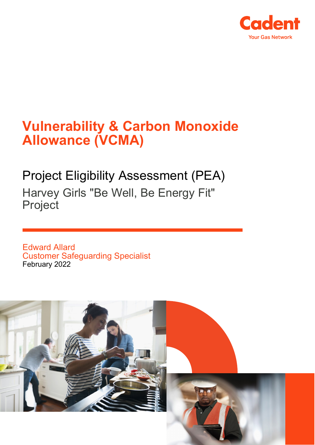

# **Vulnerability & Carbon Monoxide Allowance (VCMA)**

## Project Eligibility Assessment (PEA) Harvey Girls "Be Well, Be Energy Fit" Project

Edward Allard Customer Safeguarding Specialist February 2022

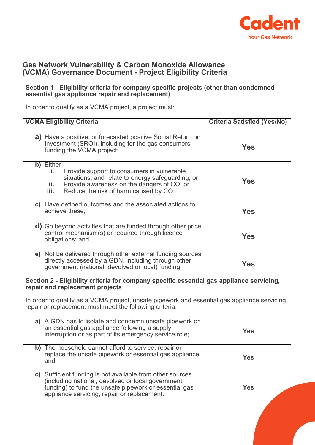

#### **Gas Network Vulnerability & Carbon Monoxide Allowance (VCMA) Governance Document - Project Eligibility Criteria**

#### **Section 1 - Eligibility criteria for company specific projects (other than condemned essential gas appliance repair and replacement)**

In order to qualify as a VCMA project, a project must:

| <b>VCMA Eligibility Criteria</b>                                                                                                                                                                                          | <b>Criteria Satisfied (Yes/No)</b> |
|---------------------------------------------------------------------------------------------------------------------------------------------------------------------------------------------------------------------------|------------------------------------|
| <b>a)</b> Have a positive, or forecasted positive Social Return on<br>Investment (SROI), including for the gas consumers<br>funding the VCMA project;                                                                     | <b>Yes</b>                         |
| b) Either:<br>Provide support to consumers in vulnerable<br>i.<br>situations, and relate to energy safeguarding, or<br>Provide awareness on the dangers of CO, or<br>ii.<br>iii.<br>Reduce the risk of harm caused by CO; | Yes                                |
| c) Have defined outcomes and the associated actions to<br>achieve these;                                                                                                                                                  | <b>Yes</b>                         |
| <b>d)</b> Go beyond activities that are funded through other price<br>control mechanism(s) or required through licence<br>obligations; and                                                                                | <b>Yes</b>                         |
| e) Not be delivered through other external funding sources<br>directly accessed by a GDN, including through other<br>government (national, devolved or local) funding.                                                    | Yes                                |
| Section 2 - Eligibility criteria for company specific essential gas appliance servicing,<br>repair and replacement projects                                                                                               |                                    |
| In order to qualify as a VCMA project, unsafe pipework and essential gas appliance servicing,<br>repair or replacement must meet the following criteria:                                                                  |                                    |
| a) A GDN has to isolate and condemn unsafe pipework or<br>an essential gas appliance following a supply<br>interruption or as part of its emergency service role;                                                         | <b>Yes</b>                         |
| b) The household cannot afford to service, repair or<br>replace the unsafe pipework or essential gas appliance;<br>and;                                                                                                   | <b>Yes</b>                         |
| c) Sufficient funding is not available from other sources<br>(including national, devolved or local government<br>funding) to fund the unsafe pipework or essential gas<br>appliance servicing, repair or replacement.    | <b>Yes</b>                         |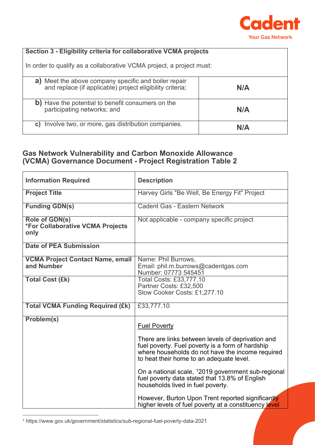

### **Section 3 - Eligibility criteria for collaborative VCMA projects**

In order to qualify as a collaborative VCMA project, a project must:

| a) Meet the above company specific and boiler repair<br>and replace (if applicable) project eligibility criteria; | N/A |
|-------------------------------------------------------------------------------------------------------------------|-----|
| b) Have the potential to benefit consumers on the<br>participating networks; and                                  | N/A |
| Involve two, or more, gas distribution companies.<br>C)                                                           | N/A |

#### **Gas Network Vulnerability and Carbon Monoxide Allowance (VCMA) Governance Document - Project Registration Table 2**

| <b>Information Required</b>                                | <b>Description</b>                                                                                                                                                                                    |
|------------------------------------------------------------|-------------------------------------------------------------------------------------------------------------------------------------------------------------------------------------------------------|
| <b>Project Title</b>                                       | Harvey Girls "Be Well, Be Energy Fit" Project                                                                                                                                                         |
| <b>Funding GDN(s)</b>                                      | Cadent Gas - Eastern Network                                                                                                                                                                          |
| Role of GDN(s)<br>*For Collaborative VCMA Projects<br>only | Not applicable - company specific project                                                                                                                                                             |
| <b>Date of PEA Submission</b>                              |                                                                                                                                                                                                       |
| <b>VCMA Project Contact Name, email</b><br>and Number      | Name: Phil Burrows,<br>Email: phil.m.burrows@cadentgas.com<br>Number: 07773 545451                                                                                                                    |
| <b>Total Cost (£k)</b>                                     | <b>Total Costs: £33,777.10</b><br>Partner Costs: £32,500<br>Slow Cooker Costs: £1,277.10                                                                                                              |
| <b>Total VCMA Funding Required (£k)</b>                    | £33,777.10                                                                                                                                                                                            |
| Problem(s)                                                 | <b>Fuel Poverty</b>                                                                                                                                                                                   |
|                                                            | There are links between levels of deprivation and<br>fuel poverty. Fuel poverty is a form of hardship<br>where households do not have the income required<br>to heat their home to an adequate level. |
|                                                            | On a national scale, <sup>1</sup> 2019 government sub-regional<br>fuel poverty data stated that 13.8% of English<br>households lived in fuel poverty.                                                 |
|                                                            | However, Burton Upon Trent reported significantly<br>higher levels of fuel poverty at a constituency level                                                                                            |

<span id="page-2-0"></span><sup>1</sup> https://www.gov.uk/government/statistics/sub-regional-fuel-poverty-data-2021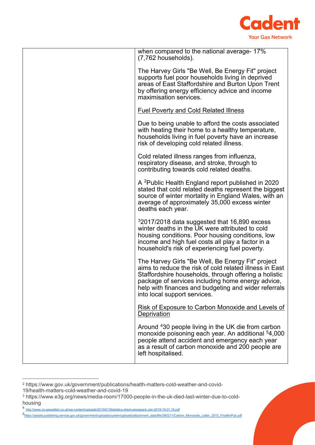

| when compared to the national average- 17%<br>$(7,762$ households).                                                                                                                                                                                                                                               |
|-------------------------------------------------------------------------------------------------------------------------------------------------------------------------------------------------------------------------------------------------------------------------------------------------------------------|
| The Harvey Girls "Be Well, Be Energy Fit" project<br>supports fuel poor households living in deprived<br>areas of East Staffordshire and Burton Upon Trent<br>by offering energy efficiency advice and income<br>maximisation services.                                                                           |
| <b>Fuel Poverty and Cold Related Illness</b>                                                                                                                                                                                                                                                                      |
| Due to being unable to afford the costs associated<br>with heating their home to a healthy temperature,<br>households living in fuel poverty have an increase<br>risk of developing cold related illness.                                                                                                         |
| Cold related illness ranges from influenza,<br>respiratory disease, and stroke, through to<br>contributing towards cold related deaths.                                                                                                                                                                           |
| A <sup>2</sup> Public Health England report published in 2020<br>stated that cold related deaths represent the biggest<br>source of winter mortality in England Wales, with an<br>average of approximately 35,000 excess winter<br>deaths each year.                                                              |
| $32017/2018$ data suggested that 16,890 excess<br>winter deaths in the UK were attributed to cold<br>housing conditions. Poor housing conditions, low<br>income and high fuel costs all play a factor in a<br>household's risk of experiencing fuel poverty.                                                      |
| The Harvey Girls "Be Well, Be Energy Fit" project<br>aims to reduce the risk of cold related illness in East<br>Staffordshire households, through offering a holistic<br>package of services including home energy advice<br>help with finances and budgeting and wider referrals<br>into local support services. |
| <b>Risk of Exposure to Carbon Monoxide and Levels of</b><br>Deprivation                                                                                                                                                                                                                                           |
| Around 430 people living in the UK die from carbon<br>monoxide poisoning each year. An additional 54,000<br>people attend accident and emergency each year<br>as a result of carbon monoxide and 200 people are<br>left hospitalised.                                                                             |

<span id="page-3-0"></span><sup>2</sup> https://www.gov.uk/government/publications/health-matters-cold-weather-and-covid-

<sup>19/</sup>health-matters-cold-weather-and-covid-19

<span id="page-3-1"></span><sup>3</sup> https://www.e3g.org/news/media-room/17000-people-in-the-uk-died-last-winter-due-to-coldhousing

<span id="page-3-2"></span><sup>4</sup> <http://www.co-gassafety.co.uk/wp-content/uploads/2019/01/Statistics-sheet-presspack-Jan-2019-18.01.19.pdf>

<span id="page-3-3"></span>[<sup>5</sup>https://assets.publishing.service.gov.uk/government/uploads/system/uploads/attachment\\_data/file/260211/Carbon\\_Monoxide\\_Letter\\_2013\\_FinalforPub.pdf](https://assets.publishing.service.gov.uk/government/uploads/system/uploads/attachment_data/file/260211/Carbon_Monoxide_Letter_2013_FinalforPub.pdf)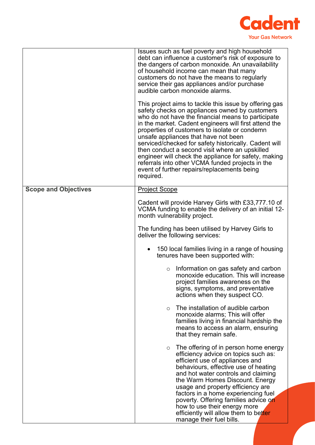

|                             | Issues such as fuel poverty and high household<br>debt can influence a customer's risk of exposure to<br>the dangers of carbon monoxide. An unavailability<br>of household income can mean that many<br>customers do not have the means to regularly<br>service their gas appliances and/or purchase<br>audible carbon monoxide alarms.<br>This project aims to tackle this issue by offering gas<br>safety checks on appliances owned by customers<br>who do not have the financial means to participate<br>in the market. Cadent engineers will first attend the<br>properties of customers to isolate or condemn<br>unsafe appliances that have not been<br>serviced/checked for safety historically. Cadent will<br>then conduct a second visit where an upskilled<br>engineer will check the appliance for safety, making<br>referrals into other VCMA funded projects in the<br>event of further repairs/replacements being<br>required. |
|-----------------------------|------------------------------------------------------------------------------------------------------------------------------------------------------------------------------------------------------------------------------------------------------------------------------------------------------------------------------------------------------------------------------------------------------------------------------------------------------------------------------------------------------------------------------------------------------------------------------------------------------------------------------------------------------------------------------------------------------------------------------------------------------------------------------------------------------------------------------------------------------------------------------------------------------------------------------------------------|
| <b>Scope and Objectives</b> | <b>Project Scope</b>                                                                                                                                                                                                                                                                                                                                                                                                                                                                                                                                                                                                                                                                                                                                                                                                                                                                                                                           |
|                             | Cadent will provide Harvey Girls with £33,777.10 of<br>VCMA funding to enable the delivery of an initial 12-<br>month vulnerability project.                                                                                                                                                                                                                                                                                                                                                                                                                                                                                                                                                                                                                                                                                                                                                                                                   |
|                             | The funding has been utilised by Harvey Girls to<br>deliver the following services:                                                                                                                                                                                                                                                                                                                                                                                                                                                                                                                                                                                                                                                                                                                                                                                                                                                            |
|                             | 150 local families living in a range of housing<br>tenures have been supported with:                                                                                                                                                                                                                                                                                                                                                                                                                                                                                                                                                                                                                                                                                                                                                                                                                                                           |
|                             | Information on gas safety and carbon<br>$\circ$<br>monoxide education. This will increase<br>project families awareness on the<br>signs, symptoms, and preventative<br>actions when they suspect CO.                                                                                                                                                                                                                                                                                                                                                                                                                                                                                                                                                                                                                                                                                                                                           |
|                             | The installation of audible carbon<br>$\circ$<br>monoxide alarms; This will offer<br>families living in financial hardship the<br>means to access an alarm, ensuring<br>that they remain safe.                                                                                                                                                                                                                                                                                                                                                                                                                                                                                                                                                                                                                                                                                                                                                 |
|                             | The offering of in person home energy<br>$\circ$<br>efficiency advice on topics such as:<br>efficient use of appliances and<br>behaviours, effective use of heating<br>and hot water controls and claiming<br>the Warm Homes Discount. Energy<br>usage and property efficiency are<br>factors in a home experiencing fuel<br>poverty. Offering families advice on<br>how to use their energy more<br>efficiently will allow them to better<br>manage their fuel bills.                                                                                                                                                                                                                                                                                                                                                                                                                                                                         |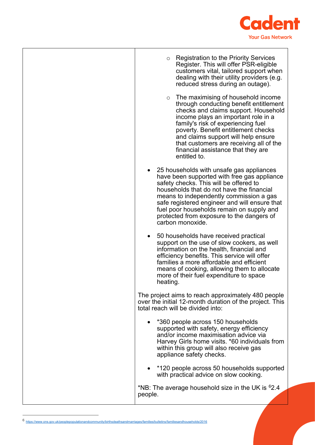

| <b>Registration to the Priority Services</b><br>$\circ$<br>Register. This will offer PSR-eligible<br>customers vital, tailored support when<br>dealing with their utility providers (e.g.<br>reduced stress during an outage).                                                                                                                                                           |
|------------------------------------------------------------------------------------------------------------------------------------------------------------------------------------------------------------------------------------------------------------------------------------------------------------------------------------------------------------------------------------------|
| $\circ$ The maximising of household income<br>through conducting benefit entitlement<br>checks and claims support. Household<br>income plays an important role in a<br>family's risk of experiencing fuel<br>poverty. Benefit entitlement checks<br>and claims support will help ensure<br>that customers are receiving all of the<br>financial assistance that they are<br>entitled to. |
| 25 households with unsafe gas appliances<br>have been supported with free gas appliance<br>safety checks. This will be offered to<br>households that do not have the financial<br>means to independently commission a gas<br>safe registered engineer and will ensure that<br>fuel poor households remain on supply and<br>protected from exposure to the dangers of<br>carbon monoxide. |
| 50 households have received practical<br>support on the use of slow cookers, as well<br>information on the health, financial and<br>efficiency benefits. This service will offer<br>families a more affordable and efficient<br>means of cooking, allowing them to allocate<br>more of their fuel expenditure to space<br>heating                                                        |
| The project aims to reach approximately 480 people<br>over the initial 12-month duration of the project. This<br>total reach will be divided into:                                                                                                                                                                                                                                       |
| *360 people across 150 households<br>supported with safety, energy efficiency<br>and/or income maximisation advice via<br>Harvey Girls home visits. *60 individuals from<br>within this group will also receive gas<br>appliance safety checks.                                                                                                                                          |
| *120 people across 50 households supported<br>with practical advice on slow cooking.                                                                                                                                                                                                                                                                                                     |
| *NB: The average household size in the UK is $62.4$<br>people.                                                                                                                                                                                                                                                                                                                           |

<span id="page-5-0"></span><sup>6</sup> <https://www.ons.gov.uk/peoplepopulationandcommunity/birthsdeathsandmarriages/families/bulletins/familiesandhouseholds/2016>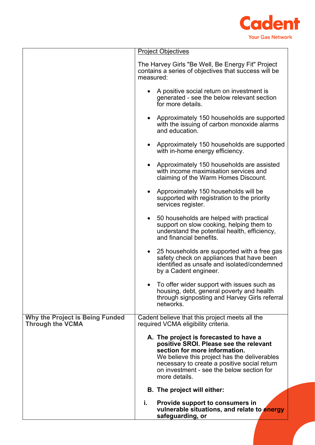

|                                                                   | <b>Project Objectives</b>                                                                                                                                                                                                                                                       |
|-------------------------------------------------------------------|---------------------------------------------------------------------------------------------------------------------------------------------------------------------------------------------------------------------------------------------------------------------------------|
|                                                                   | The Harvey Girls "Be Well, Be Energy Fit" Project<br>contains a series of objectives that success will be<br>measured:                                                                                                                                                          |
|                                                                   | A positive social return on investment is<br>generated - see the below relevant section<br>for more details.                                                                                                                                                                    |
|                                                                   | Approximately 150 households are supported<br>$\bullet$<br>with the issuing of carbon monoxide alarms<br>and education.                                                                                                                                                         |
|                                                                   | Approximately 150 households are supported<br>with in-home energy efficiency.                                                                                                                                                                                                   |
|                                                                   | Approximately 150 households are assisted<br>with income maximisation services and<br>claiming of the Warm Homes Discount.                                                                                                                                                      |
|                                                                   | Approximately 150 households will be<br>$\bullet$<br>supported with registration to the priority<br>services register.                                                                                                                                                          |
|                                                                   | • 50 households are helped with practical<br>support on slow cooking, helping them to<br>understand the potential health, efficiency,<br>and financial benefits.                                                                                                                |
|                                                                   | 25 households are supported with a free gas<br>$\bullet$<br>safety check on appliances that have been<br>identified as unsafe and isolated/condemned<br>by a Cadent engineer.                                                                                                   |
|                                                                   | To offer wider support with issues such as<br>housing, debt, general poverty and health<br>through signposting and Harvey Girls referral<br>networks                                                                                                                            |
| <b>Why the Project is Being Funded</b><br><b>Through the VCMA</b> | Cadent believe that this project meets all the<br>required VCMA eligibility criteria.                                                                                                                                                                                           |
|                                                                   | A. The project is forecasted to have a<br>positive SROI. Please see the relevant<br>section for more information.<br>We believe this project has the deliverables<br>necessary to create a positive social return<br>on investment - see the below section for<br>more details. |
|                                                                   | <b>B.</b> The project will either:                                                                                                                                                                                                                                              |
|                                                                   | i.<br>Provide support to consumers in<br>vulnerable situations, and relate to energy<br>safeguarding, or                                                                                                                                                                        |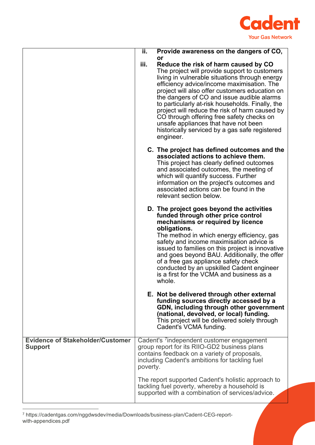

|                                                           | ΪĪ.      | Provide awareness on the dangers of CO,                                                                                                                                                                                                                                                                                                                                                                                                                                                                                                               |
|-----------------------------------------------------------|----------|-------------------------------------------------------------------------------------------------------------------------------------------------------------------------------------------------------------------------------------------------------------------------------------------------------------------------------------------------------------------------------------------------------------------------------------------------------------------------------------------------------------------------------------------------------|
|                                                           | iii.     | or<br>Reduce the risk of harm caused by CO<br>The project will provide support to customers<br>living in vulnerable situations through energy<br>efficiency advice/income maximisation. The<br>project will also offer customers education on<br>the dangers of CO and issue audible alarms<br>to particularly at-risk households. Finally, the<br>project will reduce the risk of harm caused by<br>CO through offering free safety checks on<br>unsafe appliances that have not been<br>historically serviced by a gas safe registered<br>engineer. |
|                                                           |          | C. The project has defined outcomes and the<br>associated actions to achieve them.<br>This project has clearly defined outcomes<br>and associated outcomes, the meeting of<br>which will quantify success. Further<br>information on the project's outcomes and<br>associated actions can be found in the<br>relevant section below.                                                                                                                                                                                                                  |
|                                                           |          | D. The project goes beyond the activities<br>funded through other price control<br>mechanisms or required by licence<br>obligations.<br>The method in which energy efficiency, gas<br>safety and income maximisation advice is<br>issued to families on this project is innovative<br>and goes beyond BAU. Additionally, the offer<br>of a free gas appliance safety check<br>conducted by an upskilled Cadent engineer<br>is a first for the VCMA and business as a<br>whole.                                                                        |
|                                                           |          | E. Not be delivered through other external<br>funding sources directly accessed by a<br>GDN, including through other government<br>(national, devolved, or local) funding.<br>This project will be delivered solely through<br>Cadent's VCMA funding.                                                                                                                                                                                                                                                                                                 |
| <b>Evidence of Stakeholder/Customer</b><br><b>Support</b> | poverty. | Cadent's <sup>7</sup> independent customer engagement<br>group report for its RIIO-GD2 business plans<br>contains feedback on a variety of proposals,<br>including Cadent's ambitions for tackling fuel                                                                                                                                                                                                                                                                                                                                               |
|                                                           |          | The report supported Cadent's holistic approach to<br>tackling fuel poverty, whereby a household is<br>supported with a combination of services/advice.                                                                                                                                                                                                                                                                                                                                                                                               |

<span id="page-7-0"></span><sup>7</sup> https://cadentgas.com/nggdwsdev/media/Downloads/business-plan/Cadent-CEG-reportwith-appendices.pdf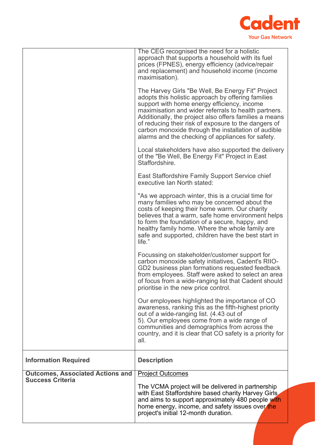

|                                                                    | The CEG recognised the need for a holistic<br>approach that supports a household with its fuel<br>prices (FPNES), energy efficiency (advice/repair<br>and replacement) and household income (income<br>maximisation).                                                                                                                                                                                                                        |
|--------------------------------------------------------------------|----------------------------------------------------------------------------------------------------------------------------------------------------------------------------------------------------------------------------------------------------------------------------------------------------------------------------------------------------------------------------------------------------------------------------------------------|
|                                                                    | The Harvey Girls "Be Well, Be Energy Fit" Project<br>adopts this holistic approach by offering families<br>support with home energy efficiency, income<br>maximisation and wider referrals to health partners.<br>Additionally, the project also offers families a means<br>of reducing their risk of exposure to the dangers of<br>carbon monoxide through the installation of audible<br>alarms and the checking of appliances for safety. |
|                                                                    | Local stakeholders have also supported the delivery<br>of the "Be Well, Be Energy Fit" Project in East<br>Staffordshire.                                                                                                                                                                                                                                                                                                                     |
|                                                                    | East Staffordshire Family Support Service chief<br>executive Ian North stated:                                                                                                                                                                                                                                                                                                                                                               |
|                                                                    | "As we approach winter, this is a crucial time for<br>many families who may be concerned about the<br>costs of keeping their home warm. Our charity<br>believes that a warm, safe home environment helps<br>to form the foundation of a secure, happy, and<br>healthy family home. Where the whole family are<br>safe and supported, children have the best start in<br>life."                                                               |
|                                                                    | Focussing on stakeholder/customer support for<br>carbon monoxide safety initiatives, Cadent's RIIO-<br>GD2 business plan formations requested feedback<br>from employees. Staff were asked to select an area<br>of focus from a wide-ranging list that Cadent should<br>prioritise in the new price control.                                                                                                                                 |
|                                                                    | Our employees highlighted the importance of CO<br>awareness, ranking this as the fifth-highest priority<br>out of a wide-ranging list. (4.43 out of<br>5). Our employees come from a wide range of<br>communities and demographics from across the<br>country, and it is clear that CO safety is a priority for<br>all.                                                                                                                      |
| <b>Information Required</b>                                        | <b>Description</b>                                                                                                                                                                                                                                                                                                                                                                                                                           |
| <b>Outcomes, Associated Actions and</b><br><b>Success Criteria</b> | <b>Project Outcomes</b>                                                                                                                                                                                                                                                                                                                                                                                                                      |
|                                                                    | The VCMA project will be delivered in partnership<br>with East Staffordshire based charity Harvey Girls<br>and aims to support approximately 480 people with<br>home energy, income, and safety issues over the<br>project's initial 12-month duration.                                                                                                                                                                                      |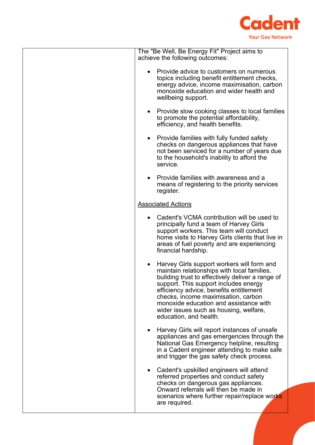

| The "Be Well, Be Energy Fit" Project aims to<br>achieve the following outcomes:                                                                                                                                                                                                                                                                                                        |
|----------------------------------------------------------------------------------------------------------------------------------------------------------------------------------------------------------------------------------------------------------------------------------------------------------------------------------------------------------------------------------------|
| Provide advice to customers on numerous<br>topics including benefit entitlement checks,<br>energy advice, income maximisation, carbon<br>monoxide education and wider health and<br>wellbeing support.                                                                                                                                                                                 |
| Provide slow cooking classes to local families<br>to promote the potential affordability,<br>efficiency, and health benefits.                                                                                                                                                                                                                                                          |
| Provide families with fully funded safety<br>checks on dangerous appliances that have<br>not been serviced for a number of years due<br>to the household's inability to afford the<br>service.                                                                                                                                                                                         |
| Provide families with awareness and a<br>means of registering to the priority services<br>register.                                                                                                                                                                                                                                                                                    |
| <b>Associated Actions</b>                                                                                                                                                                                                                                                                                                                                                              |
| Cadent's VCMA contribution will be used to<br>principally fund a team of Harvey Girls<br>support workers. This team will conduct<br>home visits to Harvey Girls clients that live in<br>areas of fuel poverty and are experiencing<br>financial hardship.                                                                                                                              |
| Harvey Girls support workers will form and<br>maintain relationships with local families,<br>building trust to effectively deliver a range of<br>support. This support includes energy<br>efficiency advice, benefits entitlement<br>checks, income maximisation, carbon<br>monoxide education and assistance with<br>wider issues such as housing, welfare,<br>education, and health. |
| Harvey Girls will report instances of unsafe<br>appliances and gas emergencies through the<br>National Gas Emergency helpline, resulting<br>in a Cadent engineer attending to make safe<br>and trigger the gas safety check process.                                                                                                                                                   |
| Cadent's upskilled engineers will attend<br>referred properties and conduct safety<br>checks on dangerous gas appliances.<br>Onward referrals will then be made in<br>scenarios where further repair/replace works<br>are required.                                                                                                                                                    |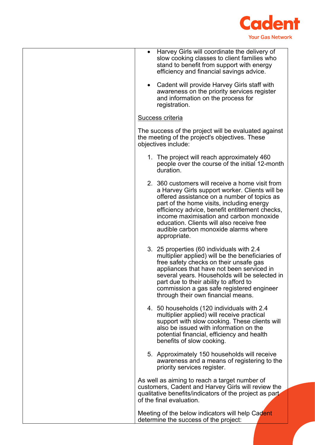

| Harvey Girls will coordinate the delivery of<br>$\bullet$<br>slow cooking classes to client families who<br>stand to benefit from support with energy<br>efficiency and financial savings advice.                                                                                                                                                                                               |
|-------------------------------------------------------------------------------------------------------------------------------------------------------------------------------------------------------------------------------------------------------------------------------------------------------------------------------------------------------------------------------------------------|
| Cadent will provide Harvey Girls staff with<br>$\bullet$<br>awareness on the priority services register<br>and information on the process for<br>registration.                                                                                                                                                                                                                                  |
| Success criteria                                                                                                                                                                                                                                                                                                                                                                                |
| The success of the project will be evaluated against<br>the meeting of the project's objectives. These<br>objectives include:                                                                                                                                                                                                                                                                   |
| 1. The project will reach approximately 460<br>people over the course of the initial 12-month<br>duration.                                                                                                                                                                                                                                                                                      |
| 2. 360 customers will receive a home visit from<br>a Harvey Girls support worker. Clients will be<br>offered assistance on a number of topics as<br>part of the home visits, including energy<br>efficiency advice, benefit entitlement checks,<br>income maximisation and carbon monoxide<br>education. Clients will also receive free<br>audible carbon monoxide alarms where<br>appropriate. |
| 3. 25 properties (60 individuals with 2.4<br>multiplier applied) will be the beneficiaries of<br>free safety checks on their unsafe gas<br>appliances that have not been serviced in<br>several years. Households will be selected in<br>part due to their ability to afford to<br>commission a gas safe registered engineer<br>through their own financial means.                              |
| 4. 50 households (120 individuals with 2.4<br>multiplier applied) will receive practical<br>support with slow cooking. These clients will<br>also be issued with information on the<br>potential financial, efficiency and health<br>benefits of slow cooking.                                                                                                                                  |
| 5. Approximately 150 households will receive<br>awareness and a means of registering to the<br>priority services register.                                                                                                                                                                                                                                                                      |
| As well as aiming to reach a target number of<br>customers, Cadent and Harvey Girls will review the<br>qualitative benefits/indicators of the project as part<br>of the final evaluation.                                                                                                                                                                                                       |
| Meeting of the below indicators will help Cadent<br>determine the success of the project:                                                                                                                                                                                                                                                                                                       |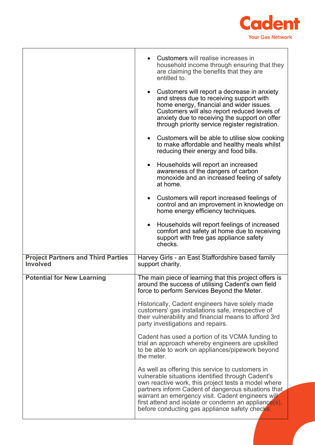

|                                                              | Customers will realise increases in<br>household income through ensuring that they<br>are claiming the benefits that they are<br>entitled to.<br>Customers will report a decrease in anxiety<br>$\bullet$<br>and stress due to receiving support with<br>home energy, financial and wider issues.<br>Customers will also report reduced levels of                                  |
|--------------------------------------------------------------|------------------------------------------------------------------------------------------------------------------------------------------------------------------------------------------------------------------------------------------------------------------------------------------------------------------------------------------------------------------------------------|
|                                                              | anxiety due to receiving the support on offer<br>through priority service register registration.<br>• Customers will be able to utilise slow cooking<br>to make affordable and healthy meals whilst                                                                                                                                                                                |
|                                                              | reducing their energy and food bills.                                                                                                                                                                                                                                                                                                                                              |
|                                                              | Households will report an increased<br>$\bullet$<br>awareness of the dangers of carbon<br>monoxide and an increased feeling of safety<br>at home.                                                                                                                                                                                                                                  |
|                                                              | Customers will report increased feelings of<br>$\bullet$<br>control and an improvement in knowledge on<br>home energy efficiency techniques.                                                                                                                                                                                                                                       |
|                                                              | Households will report feelings of increased<br>$\bullet$<br>comfort and safety at home due to receiving<br>support with free gas appliance safety<br>checks.                                                                                                                                                                                                                      |
| <b>Project Partners and Third Parties</b><br><b>Involved</b> | Harvey Girls - an East Staffordshire based family<br>support charity.                                                                                                                                                                                                                                                                                                              |
| <b>Potential for New Learning</b>                            | The main piece of learning that this project offers is<br>around the success of utilising Cadent's own field<br>force to perform Services Beyond the Meter.                                                                                                                                                                                                                        |
|                                                              | Historically, Cadent engineers have solely made<br>customers' gas installations safe, irrespective of<br>their vulnerability and financial means to afford 3rd<br>party investigations and repairs.                                                                                                                                                                                |
|                                                              | Cadent has used a portion of its VCMA funding to<br>trial an approach whereby engineers are upskilled<br>to be able to work on appliances/pipework beyond<br>the meter.                                                                                                                                                                                                            |
|                                                              | As well as offering this service to customers in<br>vulnerable situations identified through Cadent's<br>own reactive work, this project tests a model where<br>partners inform Cadent of dangerous situations that<br>warrant an emergency visit. Cadent engineers will<br>first attend and isolate or condemn an appliance(s),<br>before conducting gas appliance safety checks. |
|                                                              |                                                                                                                                                                                                                                                                                                                                                                                    |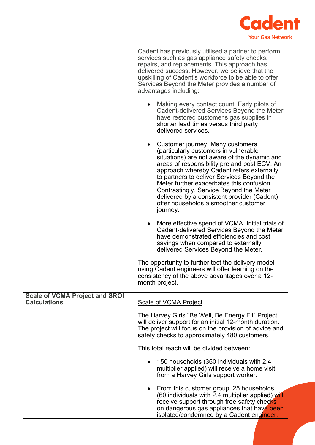

|                                                              | Cadent has previously utilised a partner to perform<br>services such as gas appliance safety checks,<br>repairs, and replacements. This approach has<br>delivered success. However, we believe that the<br>upskilling of Cadent's workforce to be able to offer<br>Services Beyond the Meter provides a number of<br>advantages including:                                                                                                                                   |
|--------------------------------------------------------------|------------------------------------------------------------------------------------------------------------------------------------------------------------------------------------------------------------------------------------------------------------------------------------------------------------------------------------------------------------------------------------------------------------------------------------------------------------------------------|
|                                                              | Making every contact count. Early pilots of<br>Cadent-delivered Services Beyond the Meter<br>have restored customer's gas supplies in<br>shorter lead times versus third party<br>delivered services.                                                                                                                                                                                                                                                                        |
|                                                              | Customer journey. Many customers<br>$\bullet$<br>(particularly customers in vulnerable<br>situations) are not aware of the dynamic and<br>areas of responsibility pre and post ECV. An<br>approach whereby Cadent refers externally<br>to partners to deliver Services Beyond the<br>Meter further exacerbates this confusion.<br>Contrastingly, Service Beyond the Meter<br>delivered by a consistent provider (Cadent)<br>offer households a smoother customer<br>journey. |
|                                                              | More effective spend of VCMA. Initial trials of<br>$\bullet$<br>Cadent-delivered Services Beyond the Meter<br>have demonstrated efficiencies and cost<br>savings when compared to externally<br>delivered Services Beyond the Meter.                                                                                                                                                                                                                                         |
|                                                              | The opportunity to further test the delivery model<br>using Cadent engineers will offer learning on the<br>consistency of the above advantages over a 12-<br>month project.                                                                                                                                                                                                                                                                                                  |
| <b>Scale of VCMA Project and SROI</b><br><b>Calculations</b> | <b>Scale of VCMA Project</b>                                                                                                                                                                                                                                                                                                                                                                                                                                                 |
|                                                              | The Harvey Girls "Be Well, Be Energy Fit" Project<br>will deliver support for an initial 12-month duration.<br>The project will focus on the provision of advice and<br>safety checks to approximately 480 customers.                                                                                                                                                                                                                                                        |
|                                                              | This total reach will be divided between:                                                                                                                                                                                                                                                                                                                                                                                                                                    |
|                                                              | 150 households (360 individuals with 2.4<br>multiplier applied) will receive a home visit<br>from a Harvey Girls support worker.                                                                                                                                                                                                                                                                                                                                             |
|                                                              | From this customer group, 25 households<br>$\bullet$<br>(60 individuals with 2.4 multiplier applied) will<br>receive support through free safety checks<br>on dangerous gas appliances that have been<br>isolated/condemned by a Cadent engineer.                                                                                                                                                                                                                            |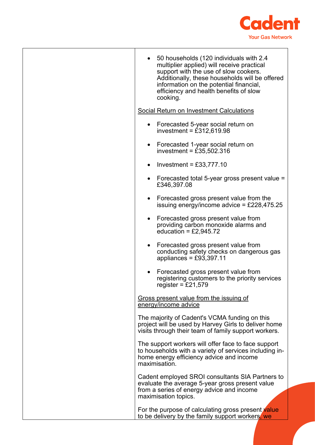

| 50 households (120 individuals with 2.4<br>multiplier applied) will receive practical<br>support with the use of slow cookers.<br>Additionally, these households will be offered<br>information on the potential financial,<br>efficiency and health benefits of slow<br>cooking. |
|-----------------------------------------------------------------------------------------------------------------------------------------------------------------------------------------------------------------------------------------------------------------------------------|
| Social Return on Investment Calculations                                                                                                                                                                                                                                          |
| Forecasted 5-year social return on<br>investment = $£312,619.98$                                                                                                                                                                                                                  |
| Forecasted 1-year social return on<br>$\bullet$<br>investment = $£35,502.316$                                                                                                                                                                                                     |
| Investment = $£33,777.10$                                                                                                                                                                                                                                                         |
| Forecasted total 5-year gross present value =<br>£346,397.08                                                                                                                                                                                                                      |
| Forecasted gross present value from the<br>$\bullet$<br>issuing energy/income advice = £228,475.25                                                                                                                                                                                |
| Forecasted gross present value from<br>providing carbon monoxide alarms and<br>education = $£2,945.72$                                                                                                                                                                            |
| Forecasted gross present value from<br>conducting safety checks on dangerous gas<br>appliances = $£93,397.11$                                                                                                                                                                     |
| Forecasted gross present value from<br>registering customers to the priority services<br>register = $£21,579$                                                                                                                                                                     |
| Gross present value from the issuing of<br>energy/income advice                                                                                                                                                                                                                   |
| The majority of Cadent's VCMA funding on this<br>project will be used by Harvey Girls to deliver home<br>visits through their team of family support workers.                                                                                                                     |
| The support workers will offer face to face support<br>to households with a variety of services including in-<br>home energy efficiency advice and income<br>maximisation.                                                                                                        |
| Cadent employed SROI consultants SIA Partners to<br>evaluate the average 5-year gross present value<br>from a series of energy advice and income<br>maximisation topics.                                                                                                          |
| For the purpose of calculating gross present value<br>to be delivery by the family support workers, we                                                                                                                                                                            |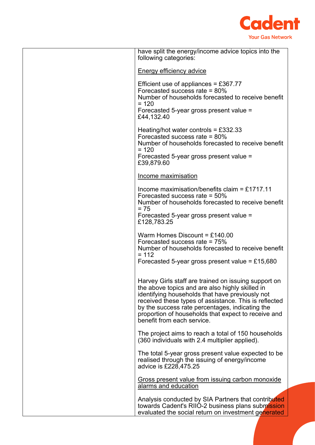

| have split the energy/income advice topics into the<br>following categories:                                                                                                                                                                                                                                                                                |
|-------------------------------------------------------------------------------------------------------------------------------------------------------------------------------------------------------------------------------------------------------------------------------------------------------------------------------------------------------------|
| Energy efficiency advice                                                                                                                                                                                                                                                                                                                                    |
| Efficient use of appliances = £367.77<br>Forecasted success rate $= 80\%$<br>Number of households forecasted to receive benefit<br>$= 120$<br>Forecasted 5-year gross present value =<br>£44,132.40                                                                                                                                                         |
| Heating/hot water controls = $£332.33$<br>Forecasted success rate $= 80\%$<br>Number of households forecasted to receive benefit<br>$= 120$<br>Forecasted 5-year gross present value =<br>£39,879.60                                                                                                                                                        |
| Income maximisation                                                                                                                                                                                                                                                                                                                                         |
| Income maximisation/benefits claim = £1717.11<br>Forecasted success rate $= 50\%$<br>Number of households forecasted to receive benefit<br>$= 75$<br>Forecasted 5-year gross present value =                                                                                                                                                                |
| £128,783.25                                                                                                                                                                                                                                                                                                                                                 |
| Warm Homes Discount = $£140.00$<br>Forecasted success rate $= 75\%$<br>Number of households forecasted to receive benefit<br>$= 112$<br>Forecasted 5-year gross present value = £15,680                                                                                                                                                                     |
| Harvey Girls staff are trained on issuing support on<br>the above topics and are also highly skilled in<br>identifying households that have previously not<br>received these types of assistance. This is reflected<br>by the success rate percentages, indicating the<br>proportion of households that expect to receive and<br>benefit from each service. |
| The project aims to reach a total of 150 households<br>(360 individuals with 2.4 multiplier applied).                                                                                                                                                                                                                                                       |
| The total 5-year gross present value expected to be<br>realised through the issuing of energy/income<br>advice is £228,475.25                                                                                                                                                                                                                               |
| Gross present value from issuing carbon monoxide<br>alarms and education                                                                                                                                                                                                                                                                                    |
| Analysis conducted by SIA Partners that contributed<br>towards Cadent's RIIO-2 business plans submission<br>evaluated the social return on investment generated                                                                                                                                                                                             |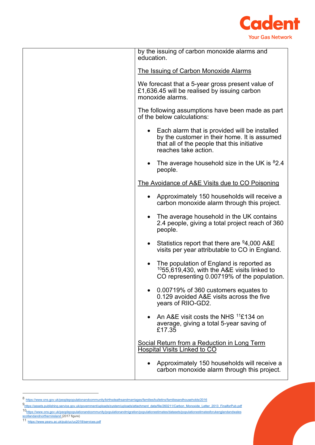

| by the issuing of carbon monoxide alarms and<br>education.                                                                                                             |
|------------------------------------------------------------------------------------------------------------------------------------------------------------------------|
| The Issuing of Carbon Monoxide Alarms                                                                                                                                  |
| We forecast that a 5-year gross present value of<br>£1,636.45 will be realised by issuing carbon<br>monoxide alarms.                                                   |
| The following assumptions have been made as part<br>of the below calculations:                                                                                         |
| • Each alarm that is provided will be installed<br>by the customer in their home. It is assumed<br>that all of the people that this initiative<br>reaches take action. |
| • The average household size in the UK is ${}^{8}2.4$<br>people.                                                                                                       |
| The Avoidance of A&E Visits due to CO Poisoning                                                                                                                        |
| • Approximately 150 households will receive a<br>carbon monoxide alarm through this project.                                                                           |
| The average household in the UK contains<br>2.4 people, giving a total project reach of 360<br>people.                                                                 |
| Statistics report that there are $94,000$ A&E<br>visits per year attributable to CO in England.                                                                        |
| The population of England is reported as<br>$1055,619,430$ , with the A&E visits linked to<br>CO representing 0.00719% of the population.                              |
| 0.00719% of 360 customers equates to<br>0.129 avoided A&E visits across the five<br>years of RIIO-GD2.                                                                 |
| • An A&E visit costs the NHS $^{11}$ £134 on<br>average, giving a total 5-year saving of<br>£17.35                                                                     |
| Social Return from a Reduction in Long Term<br><b>Hospital Visits Linked to CO</b>                                                                                     |
| Approximately 150 households will receive a<br>carbon monoxide alarm through this project.                                                                             |

<span id="page-15-1"></span><span id="page-15-0"></span><sup>8</sup> <https://www.ons.gov.uk/peoplepopulationandcommunity/birthsdeathsandmarriages/families/bulletins/familiesandhouseholds/2016>

[<sup>9</sup>https://assets.publishing.service.gov.uk/government/uploads/system/uploads/attachment\\_data/file/260211/Carbon\\_Monoxide\\_Letter\\_2013\\_FinalforPub.pdf](https://assets.publishing.service.gov.uk/government/uploads/system/uploads/attachment_data/file/260211/Carbon_Monoxide_Letter_2013_FinalforPub.pdf)

<span id="page-15-2"></span><sup>10&</sup>lt;sub>https://www.ons.gov.uk/peoplepopulationandcommunity/populationandmigration/populationestimates/datasets/populationestimatesforukenglandandwales<br><u>[scotlandandnorthernireland](https://www.ons.gov.uk/peoplepopulationandcommunity/populationandmigration/populationestimates/datasets/populationestimatesforukenglandandwalesscotlandandnorthernireland) (</u>2017 figure)<br>11 <sub>https://www.pssru.ac.uk/pub/</sub></sub>

<span id="page-15-3"></span>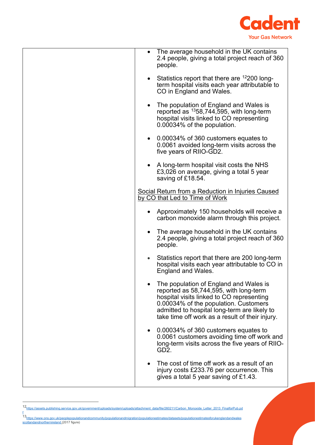

|           | The average household in the UK contains<br>2.4 people, giving a total project reach of 360<br>people.                                                                                                                                                                    |
|-----------|---------------------------------------------------------------------------------------------------------------------------------------------------------------------------------------------------------------------------------------------------------------------------|
| $\bullet$ | Statistics report that there are 12200 long-<br>term hospital visits each year attributable to<br>CO in England and Wales.                                                                                                                                                |
| $\bullet$ | The population of England and Wales is<br>reported as <sup>13</sup> 58,744,595, with long-term<br>hospital visits linked to CO representing<br>0.00034% of the population.                                                                                                |
| $\bullet$ | 0.00034% of 360 customers equates to<br>0.0061 avoided long-term visits across the<br>five years of RIIO-GD2.                                                                                                                                                             |
| $\bullet$ | A long-term hospital visit costs the NHS<br>£3,026 on average, giving a total 5 year<br>saving of £18.54.                                                                                                                                                                 |
|           | Social Return from a Reduction in Injuries Caused<br>by CO that Led to Time of Work                                                                                                                                                                                       |
| $\bullet$ | Approximately 150 households will receive a<br>carbon monoxide alarm through this project.                                                                                                                                                                                |
| $\bullet$ | The average household in the UK contains<br>2.4 people, giving a total project reach of 360<br>people.                                                                                                                                                                    |
| $\bullet$ | Statistics report that there are 200 long-term<br>hospital visits each year attributable to CO in<br>England and Wales.                                                                                                                                                   |
|           | The population of England and Wales is<br>reported as 58,744,595, with long-term<br>hospital visits linked to CO representing<br>0.00034% of the population. Customers<br>admitted to hospital long-term are likely to<br>take time off work as a result of their injury. |
| $\bullet$ | 0.00034% of 360 customers equates to<br>0.0061 customers avoiding time off work and<br>long-term visits across the five years of RIIO-<br>GD <sub>2</sub> .                                                                                                               |
|           | The cost of time off work as a result of an<br>injury costs £233.76 per occurrence. This<br>gives a total 5 year saving of £1.43.                                                                                                                                         |

<span id="page-16-0"></span><sup>12&</sup>lt;sub>https://assets.publishing.service.gov.uk/government/uploads/system/uploads/attachment\_data/file/260211/Carbon\_Monoxide\_Letter\_2013\_FinalforPub.pd</sub>

- <span id="page-16-1"></span><u>[f](https://assets.publishing.service.gov.uk/government/uploads/system/uploads/attachment_data/file/260211/Carbon_Monoxide_Letter_2013_FinalforPub.pdf)</u><br>13<sub>https://www.ons.gov.uk/peoplepopulationandcommunity/populationandmigration/populationestimates/datasets/populationestimatesforukenglandandwales<br>[scotlandandnorthernireland](https://www.ons.gov.uk/peoplepopulationandcommunity/populationandmigration/populationestimates/datasets/populationestimatesforukenglandandwalesscotlandandnorthernireland)\_(2017 figure)</sub>
-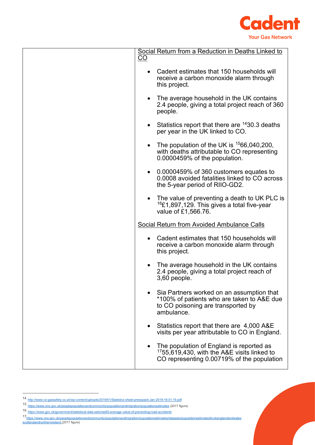

|           | Social Return from a Reduction in Deaths Linked to                                                                                            |
|-----------|-----------------------------------------------------------------------------------------------------------------------------------------------|
| <u>CO</u> |                                                                                                                                               |
|           | Cadent estimates that 150 households will<br>receive a carbon monoxide alarm through<br>this project.                                         |
|           | The average household in the UK contains<br>2.4 people, giving a total project reach of 360<br>people.                                        |
|           | Statistics report that there are <sup>14</sup> 30.3 deaths<br>per year in the UK linked to CO.                                                |
|           | The population of the UK is $1566,040,200$ ,<br>with deaths attributable to CO representing<br>0.0000459% of the population.                  |
|           | 0.0000459% of 360 customers equates to<br>0.0008 avoided fatalities linked to CO across<br>the 5-year period of RIIO-GD2.                     |
|           | The value of preventing a death to UK PLC is<br><sup>16</sup> £1,897,129. This gives a total five-year<br>value of £1,566.76.                 |
|           | Social Return from Avoided Ambulance Calls                                                                                                    |
|           | Cadent estimates that 150 households will<br>receive a carbon monoxide alarm through<br>this project.                                         |
|           | The average household in the UK contains<br>2.4 people, giving a total project reach of<br>$3,60$ people.                                     |
|           | • Sia Partners worked on an assumption that<br>*100% of patients who are taken to A&E due<br>to CO poisoning are transported by<br>ambulance. |
|           | Statistics report that there are 4,000 A&E<br>visits per year attributable to CO in England.                                                  |
|           | The population of England is reported as<br>1755,619,430, with the A&E visits linked to<br>CO representing 0.00719% of the population         |

<span id="page-17-0"></span><sup>14</sup> <http://www.co-gassafety.co.uk/wp-content/uploads/2019/01/Statistics-sheet-presspack-Jan-2019-18.01.19.pdf>

<sup>15</sup> <https://www.ons.gov.uk/peoplepopulationandcommunity/populationandmigration/populationestimates> (2017 figure)

<span id="page-17-2"></span><span id="page-17-1"></span><sup>16</sup> <https://www.gov.uk/government/statistical-data-sets/ras60-average-value-of-preventing-road-accidents>

<span id="page-17-3"></span><sup>17&</sup>lt;sub>https://www.ons.gov.uk/peoplepopulationandcommunity/populationandmigration/populationestimates/datasets/populationestimatesforukenglandandwales<br>[scotlandandnorthernireland](https://www.ons.gov.uk/peoplepopulationandcommunity/populationandmigration/populationestimates/datasets/populationestimatesforukenglandandwalesscotlandandnorthernireland) (2017 figure)</sub>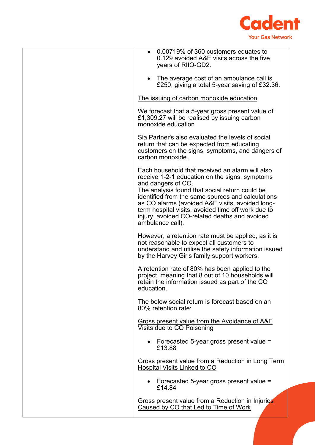

| 0.00719% of 360 customers equates to<br>$\bullet$<br>0.129 avoided A&E visits across the five<br>years of RIIO-GD2.                                                                                                                                                                                                                                                                                          |
|--------------------------------------------------------------------------------------------------------------------------------------------------------------------------------------------------------------------------------------------------------------------------------------------------------------------------------------------------------------------------------------------------------------|
| The average cost of an ambulance call is<br>£250, giving a total 5-year saving of £32.36.                                                                                                                                                                                                                                                                                                                    |
| The issuing of carbon monoxide education                                                                                                                                                                                                                                                                                                                                                                     |
| We forecast that a 5-year gross present value of<br>£1,309.27 will be realised by issuing carbon<br>monoxide education                                                                                                                                                                                                                                                                                       |
| Sia Partner's also evaluated the levels of social<br>return that can be expected from educating<br>customers on the signs, symptoms, and dangers of<br>carbon monoxide.                                                                                                                                                                                                                                      |
| Each household that received an alarm will also<br>receive 1-2-1 education on the signs, symptoms<br>and dangers of CO.<br>The analysis found that social return could be<br>identified from the same sources and calculations<br>as CO alarms (avoided A&E visits, avoided long-<br>term hospital visits, avoided time off work due to<br>injury, avoided CO-related deaths and avoided<br>ambulance call). |
| However, a retention rate must be applied, as it is<br>not reasonable to expect all customers to<br>understand and utilise the safety information issued<br>by the Harvey Girls family support workers.                                                                                                                                                                                                      |
| A retention rate of 80% has been applied to the<br>project, meaning that 8 out of 10 households will<br>retain the information issued as part of the CO<br>education.                                                                                                                                                                                                                                        |
| The below social return is forecast based on an<br>80% retention rate:                                                                                                                                                                                                                                                                                                                                       |
| Gross present value from the Avoidance of A&E<br>Visits due to CO Poisoning                                                                                                                                                                                                                                                                                                                                  |
| • Forecasted 5-year gross present value =<br>£13.88                                                                                                                                                                                                                                                                                                                                                          |
| Gross present value from a Reduction in Long Term<br><b>Hospital Visits Linked to CO</b>                                                                                                                                                                                                                                                                                                                     |
| • Forecasted 5-year gross present value $=$<br>£14.84                                                                                                                                                                                                                                                                                                                                                        |
| Gross present value from a Reduction in Injuries<br>Caused by CO that Led to Time of Work                                                                                                                                                                                                                                                                                                                    |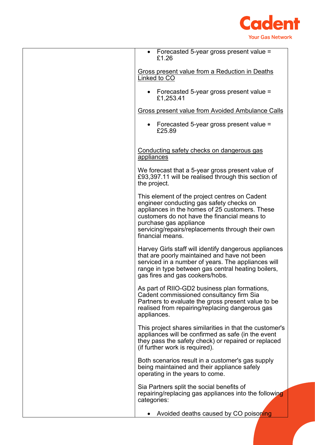

| • Forecasted 5-year gross present value $=$<br>£1.26                                                                                                                                                                                                                                          |
|-----------------------------------------------------------------------------------------------------------------------------------------------------------------------------------------------------------------------------------------------------------------------------------------------|
| Gross present value from a Reduction in Deaths<br>Linked to CO                                                                                                                                                                                                                                |
| • Forecasted 5-year gross present value $=$<br>£1,253.41                                                                                                                                                                                                                                      |
| <b>Gross present value from Avoided Ambulance Calls</b>                                                                                                                                                                                                                                       |
| • Forecasted 5-year gross present value $=$<br>£25.89                                                                                                                                                                                                                                         |
| Conducting safety checks on dangerous gas<br>appliances                                                                                                                                                                                                                                       |
| We forecast that a 5-year gross present value of<br>£93,397.11 will be realised through this section of<br>the project.                                                                                                                                                                       |
| This element of the project centres on Cadent<br>engineer conducting gas safety checks on<br>appliances in the homes of 25 customers. These<br>customers do not have the financial means to<br>purchase gas appliance<br>servicing/repairs/replacements through their own<br>financial means. |
| Harvey Girls staff will identify dangerous appliances<br>that are poorly maintained and have not been<br>serviced in a number of years. The appliances will<br>range in type between gas central heating boilers,<br>gas fires and gas cookers/hobs.                                          |
| As part of RIIO-GD2 business plan formations,<br>Cadent commissioned consultancy firm Sia<br>Partners to evaluate the gross present value to be<br>realised from repairing/replacing dangerous gas<br>appliances.                                                                             |
| This project shares similarities in that the customer's<br>appliances will be confirmed as safe (in the event<br>they pass the safety check) or repaired or replaced<br>(if further work is required).                                                                                        |
| Both scenarios result in a customer's gas supply<br>being maintained and their appliance safely<br>operating in the years to come.                                                                                                                                                            |
| Sia Partners split the social benefits of<br>repairing/replacing gas appliances into the following<br>categories:                                                                                                                                                                             |
| Avoided deaths caused by CO poisoning                                                                                                                                                                                                                                                         |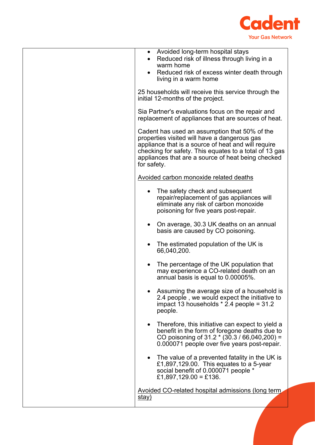

| • Avoided long-term hospital stays<br>Reduced risk of illness through living in a<br>warm home<br>Reduced risk of excess winter death through<br>living in a warm home<br>25 households will receive this service through the<br>initial 12-months of the project.                  |
|-------------------------------------------------------------------------------------------------------------------------------------------------------------------------------------------------------------------------------------------------------------------------------------|
| Sia Partner's evaluations focus on the repair and<br>replacement of appliances that are sources of heat.                                                                                                                                                                            |
| Cadent has used an assumption that 50% of the<br>properties visited will have a dangerous gas<br>appliance that is a source of heat and will require<br>checking for safety. This equates to a total of 13 gas<br>appliances that are a source of heat being checked<br>for safety. |
| Avoided carbon monoxide related deaths                                                                                                                                                                                                                                              |
| The safety check and subsequent<br>repair/replacement of gas appliances will<br>eliminate any risk of carbon monoxide<br>poisoning for five years post-repair.                                                                                                                      |
| On average, 30.3 UK deaths on an annual<br>basis are caused by CO poisoning.                                                                                                                                                                                                        |
| The estimated population of the UK is<br>66,040,200.                                                                                                                                                                                                                                |
| The percentage of the UK population that<br>may experience a CO-related death on an<br>annual basis is equal to 0.00005%.                                                                                                                                                           |
| Assuming the average size of a household is<br>2.4 people, we would expect the initiative to<br>impact 13 households $*$ 2.4 people = 31.2<br>people.                                                                                                                               |
| • Therefore, this initiative can expect to yield a<br>benefit in the form of foregone deaths due to<br>CO poisoning of 31.2 * (30.3 / 66,040,200) =<br>0.000071 people over five years post-repair.                                                                                 |
| The value of a prevented fatality in the UK is<br>£1,897,129.00. This equates to a 5-year<br>social benefit of 0.000071 people *<br>£1,897,129.00 = £136.                                                                                                                           |
| Avoided CO-related hospital admissions (long term                                                                                                                                                                                                                                   |
| <u>stay)</u>                                                                                                                                                                                                                                                                        |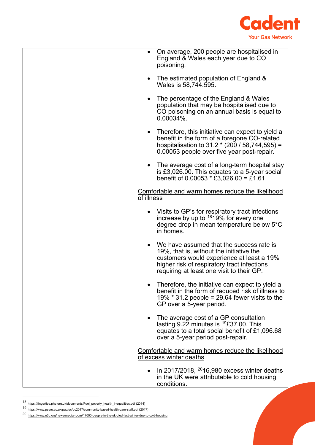

| On average, 200 people are hospitalised in<br>$\bullet$<br>England & Wales each year due to CO<br>poisoning.                                                                                                                    |
|---------------------------------------------------------------------------------------------------------------------------------------------------------------------------------------------------------------------------------|
| The estimated population of England &<br>$\bullet$<br>Wales is 58,744.595.                                                                                                                                                      |
| The percentage of the England & Wales<br>$\bullet$<br>population that may be hospitalised due to<br>CO poisoning on an annual basis is equal to<br>$0.00034\%$ .                                                                |
| Therefore, this initiative can expect to yield a<br>$\bullet$<br>benefit in the form of a foregone CO-related<br>hospitalisation to $31.2 * (200 / 58,744,595) =$<br>0.00053 people over five year post-repair.                 |
| The average cost of a long-term hospital stay<br>$\bullet$<br>is £3,026.00. This equates to a 5-year social<br>benefit of 0.00053 $*$ £3,026.00 = £1.61                                                                         |
| Comfortable and warm homes reduce the likelihood<br>of illness                                                                                                                                                                  |
| • Visits to GP's for respiratory tract infections<br>increase by up to <sup>18</sup> 19% for every one<br>degree drop in mean temperature below 5°C<br>in homes.                                                                |
| • We have assumed that the success rate is<br>19%, that is, without the initiative the<br>customers would experience at least a 19%<br>higher risk of respiratory tract infections<br>requiring at least one visit to their GP. |
| Therefore, the initiative can expect to yield a<br>benefit in the form of reduced risk of illness to<br>19% $*$ 31.2 people = 29.64 fewer visits to the<br>GP over a 5-year period.                                             |
| The average cost of a GP consultation<br>$\bullet$<br>lasting $9.22$ minutes is $^{19}E37.00$ . This<br>equates to a total social benefit of £1,096.68<br>over a 5-year period post-repair.                                     |
| Comfortable and warm homes reduce the likelihood<br>of excess winter deaths                                                                                                                                                     |
| In 2017/2018, $2016,980$ excess winter deaths<br>in the UK were attributable to cold housing<br>conditions.                                                                                                                     |

 $18$  [https://fingertips.phe.org.uk/documents/Fuel\\_poverty\\_health\\_inequalities.pdf](https://fingertips.phe.org.uk/documents/Fuel_poverty_health_inequalities.pdf) (2014)

<span id="page-21-1"></span><span id="page-21-0"></span><sup>19</sup> <https://www.pssru.ac.uk/pub/uc/uc2017/community-based-health-care-staff.pdf> (2017)

<span id="page-21-2"></span><sup>20</sup> https://www.e3g.org/news/media-room/17000-people-in-the-uk-died-last-winter-due-to-cold-housing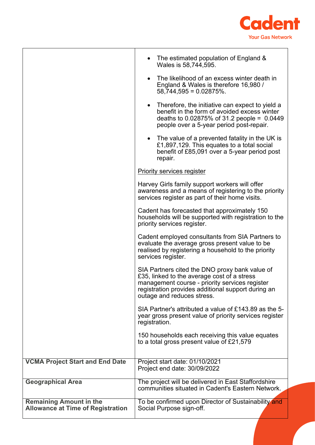

|                                                                            | The estimated population of England &<br>Wales is 58,744,595.                                                                                                                                                                       |
|----------------------------------------------------------------------------|-------------------------------------------------------------------------------------------------------------------------------------------------------------------------------------------------------------------------------------|
|                                                                            | The likelihood of an excess winter death in<br>$\bullet$<br>England & Wales is therefore 16,980 /<br>$58,744,595 = 0.02875\%$ .                                                                                                     |
|                                                                            | Therefore, the initiative can expect to yield a<br>$\bullet$<br>benefit in the form of avoided excess winter<br>deaths to $0.02875\%$ of 31.2 people = 0.0449<br>people over a 5-year period post-repair.                           |
|                                                                            | • The value of a prevented fatality in the UK is<br>£1,897,129. This equates to a total social<br>benefit of £85,091 over a 5-year period post<br>repair.                                                                           |
|                                                                            | <b>Priority services register</b>                                                                                                                                                                                                   |
|                                                                            | Harvey Girls family support workers will offer<br>awareness and a means of registering to the priority<br>services register as part of their home visits.                                                                           |
|                                                                            | Cadent has forecasted that approximately 150<br>households will be supported with registration to the<br>priority services register.                                                                                                |
|                                                                            | Cadent employed consultants from SIA Partners to<br>evaluate the average gross present value to be<br>realised by registering a household to the priority<br>services register.                                                     |
|                                                                            | SIA Partners cited the DNO proxy bank value of<br>£35, linked to the average cost of a stress<br>management course - priority services register<br>registration provides additional support during an<br>outage and reduces stress. |
|                                                                            | SIA Partner's attributed a value of £143.89 as the 5-<br>year gross present value of priority services register<br>registration.                                                                                                    |
|                                                                            | 150 households each receiving this value equates<br>to a total gross present value of £21,579                                                                                                                                       |
| <b>VCMA Project Start and End Date</b>                                     | Project start date: 01/10/2021                                                                                                                                                                                                      |
|                                                                            | Project end date: 30/09/2022                                                                                                                                                                                                        |
| <b>Geographical Area</b>                                                   | The project will be delivered in East Staffordshire<br>communities situated in Cadent's Eastern Network.                                                                                                                            |
| <b>Remaining Amount in the</b><br><b>Allowance at Time of Registration</b> | To be confirmed upon Director of Sustainability and<br>Social Purpose sign-off.                                                                                                                                                     |